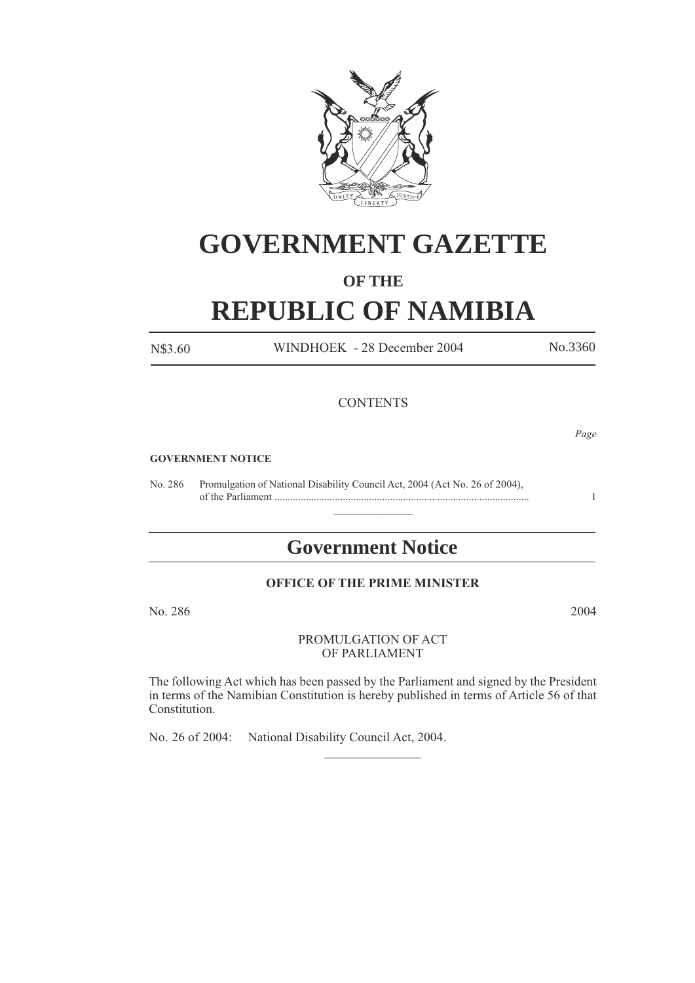

# **GOVERNMENT GAZETTE**

## **OF THE**

# **REPUBLIC OF NAMIBIA**

N\$3.60 WINDHOEK - 28 December 2004 No.3360

### **CONTENTS**

*Page*

#### **GOVERNMENT NOTICE**

No. 286 Promulgation of National Disability Council Act, 2004 (Act No. 26 of 2004), of the Parliament ................................................................................................. 1

# **Government Notice**

 $\frac{1}{2}$ 

### **OFFICE OF THE PRIME MINISTER**

No. 286 2004

#### PROMULGATION OF ACT OF PARLIAMENT

The following Act which has been passed by the Parliament and signed by the President in terms of the Namibian Constitution is hereby published in terms of Article 56 of that Constitution.

 $\frac{1}{2}$ 

No. 26 of 2004: National Disability Council Act, 2004.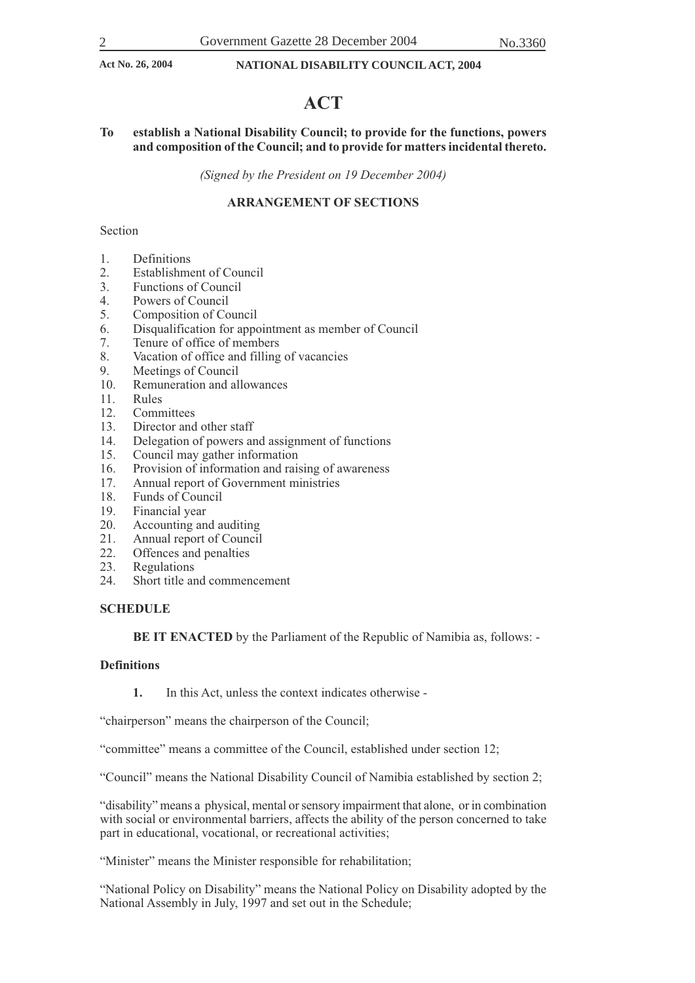## **ACT**

#### **To establish a National Disability Council; to provide for the functions, powers and composition of the Council; and to provide for matters incidental thereto.**

*(Signed by the President on 19 December 2004)*

#### **ARRANGEMENT OF SECTIONS**

#### Section

- 1. Definitions
- 2. Establishment of Council<br>3. Functions of Council
- 3. Functions of Council<br>4. Powers of Council
- 4. Powers of Council<br>5. Composition of Co
- 5. Composition of Council
- 6. Disqualification for appointment as member of Council
- 7. Tenure of office of members
- 8. Vacation of office and filling of vacancies<br>9. Meetings of Council
- 9. Meetings of Council<br>10. Remuneration and al
- Remuneration and allowances
- 11. Rules
- 12. Committees<br>13. Director and
- 13. Director and other staff<br>14. Delegation of powers and
- Delegation of powers and assignment of functions
- 15. Council may gather information
- 16. Provision of information and raising of awareness<br>17. Annual report of Government ministries
- 17. Annual report of Government ministries<br>18. Funds of Council
- Funds of Council
- 19. Financial year<br>20. Accounting an
- 20. Accounting and auditing<br>21. Annual report of Council
- 21. Annual report of Council<br>22. Offences and penalties
- 22. Offences and penalties<br>23. Regulations
- 23. Regulations<br>24. Short title and
- Short title and commencement

#### **SCHEDULE**

**BE IT ENACTED** by the Parliament of the Republic of Namibia as, follows: -

#### **Definitions**

**1.** In this Act, unless the context indicates otherwise -

"chairperson" means the chairperson of the Council;

"committee" means a committee of the Council, established under section 12;

"Council" means the National Disability Council of Namibia established by section 2;

"disability" means a physical, mental or sensory impairment that alone, or in combination with social or environmental barriers, affects the ability of the person concerned to take part in educational, vocational, or recreational activities;

"Minister" means the Minister responsible for rehabilitation;

"National Policy on Disability" means the National Policy on Disability adopted by the National Assembly in July, 1997 and set out in the Schedule;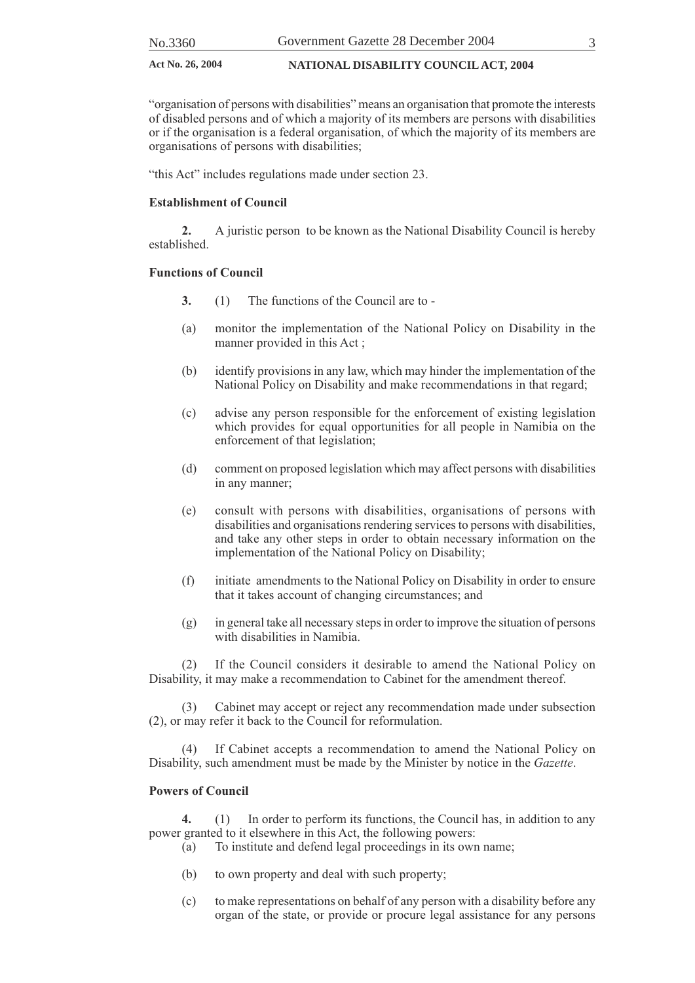"organisation of persons with disabilities" means an organisation that promote the interests of disabled persons and of which a majority of its members are persons with disabilities or if the organisation is a federal organisation, of which the majority of its members are organisations of persons with disabilities;

"this Act" includes regulations made under section 23.

#### **Establishment of Council**

**2.** A juristic person to be known as the National Disability Council is hereby established.

#### **Functions of Council**

- **3.** (1) The functions of the Council are to -
- (a) monitor the implementation of the National Policy on Disability in the manner provided in this Act ;
- (b) identify provisions in any law, which may hinder the implementation of the National Policy on Disability and make recommendations in that regard;
- (c) advise any person responsible for the enforcement of existing legislation which provides for equal opportunities for all people in Namibia on the enforcement of that legislation;
- (d) comment on proposed legislation which may affect persons with disabilities in any manner;
- (e) consult with persons with disabilities, organisations of persons with disabilities and organisations rendering services to persons with disabilities, and take any other steps in order to obtain necessary information on the implementation of the National Policy on Disability;
- (f) initiate amendments to the National Policy on Disability in order to ensure that it takes account of changing circumstances; and
- (g) in general take all necessary steps in order to improve the situation of persons with disabilities in Namibia.

If the Council considers it desirable to amend the National Policy on Disability, it may make a recommendation to Cabinet for the amendment thereof.

(3) Cabinet may accept or reject any recommendation made under subsection (2), or may refer it back to the Council for reformulation.

(4) If Cabinet accepts a recommendation to amend the National Policy on Disability, such amendment must be made by the Minister by notice in the *Gazette*.

#### **Powers of Council**

**4.** (1) In order to perform its functions, the Council has, in addition to any power granted to it elsewhere in this Act, the following powers:

- (a) To institute and defend legal proceedings in its own name;
- (b) to own property and deal with such property;
- (c) to make representations on behalf of any person with a disability before any organ of the state, or provide or procure legal assistance for any persons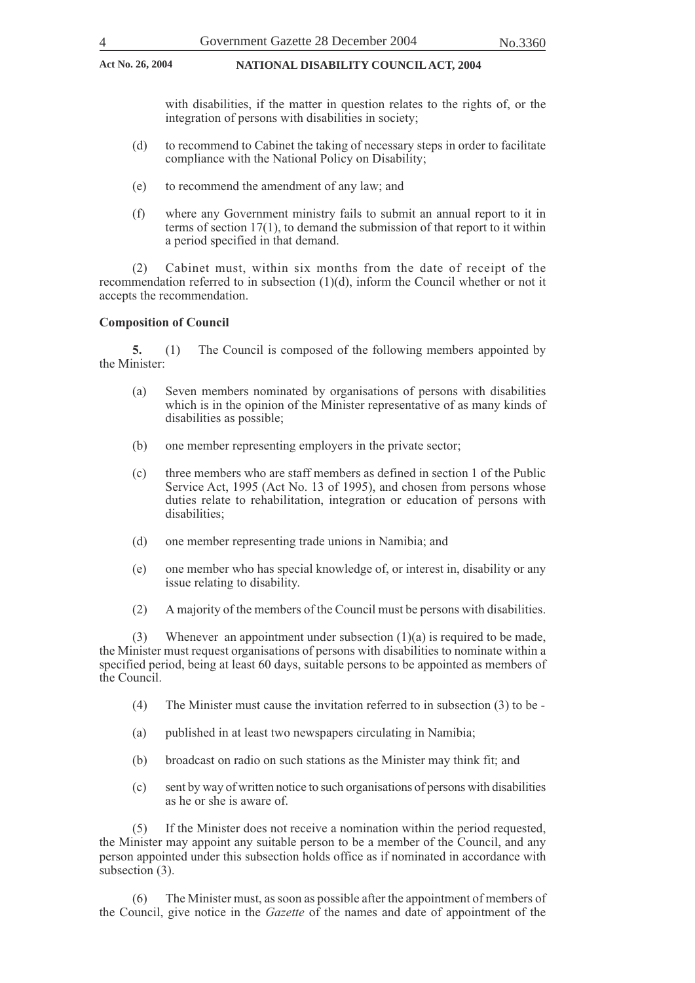with disabilities, if the matter in question relates to the rights of, or the integration of persons with disabilities in society;

- (d) to recommend to Cabinet the taking of necessary steps in order to facilitate compliance with the National Policy on Disability;
- (e) to recommend the amendment of any law; and
- (f) where any Government ministry fails to submit an annual report to it in terms of section 17(1), to demand the submission of that report to it within a period specified in that demand.

(2) Cabinet must, within six months from the date of receipt of the recommendation referred to in subsection  $(1)(d)$ , inform the Council whether or not it accepts the recommendation.

#### **Composition of Council**

**5.** (1) The Council is composed of the following members appointed by the Minister:

- (a) Seven members nominated by organisations of persons with disabilities which is in the opinion of the Minister representative of as many kinds of disabilities as possible;
- (b) one member representing employers in the private sector;
- (c) three members who are staff members as defined in section 1 of the Public Service Act, 1995 (Act No. 13 of 1995), and chosen from persons whose duties relate to rehabilitation, integration or education of persons with disabilities;
- (d) one member representing trade unions in Namibia; and
- (e) one member who has special knowledge of, or interest in, disability or any issue relating to disability.
- (2) A majority of the members of the Council must be persons with disabilities.

(3) Whenever an appointment under subsection  $(1)(a)$  is required to be made, the Minister must request organisations of persons with disabilities to nominate within a specified period, being at least 60 days, suitable persons to be appointed as members of the Council.

- (4) The Minister must cause the invitation referred to in subsection (3) to be -
- (a) published in at least two newspapers circulating in Namibia;
- (b) broadcast on radio on such stations as the Minister may think fit; and
- (c) sent by way of written notice to such organisations of persons with disabilities as he or she is aware of.

(5) If the Minister does not receive a nomination within the period requested, the Minister may appoint any suitable person to be a member of the Council, and any person appointed under this subsection holds office as if nominated in accordance with subsection (3).

(6) The Minister must, as soon as possible after the appointment of members of the Council, give notice in the *Gazette* of the names and date of appointment of the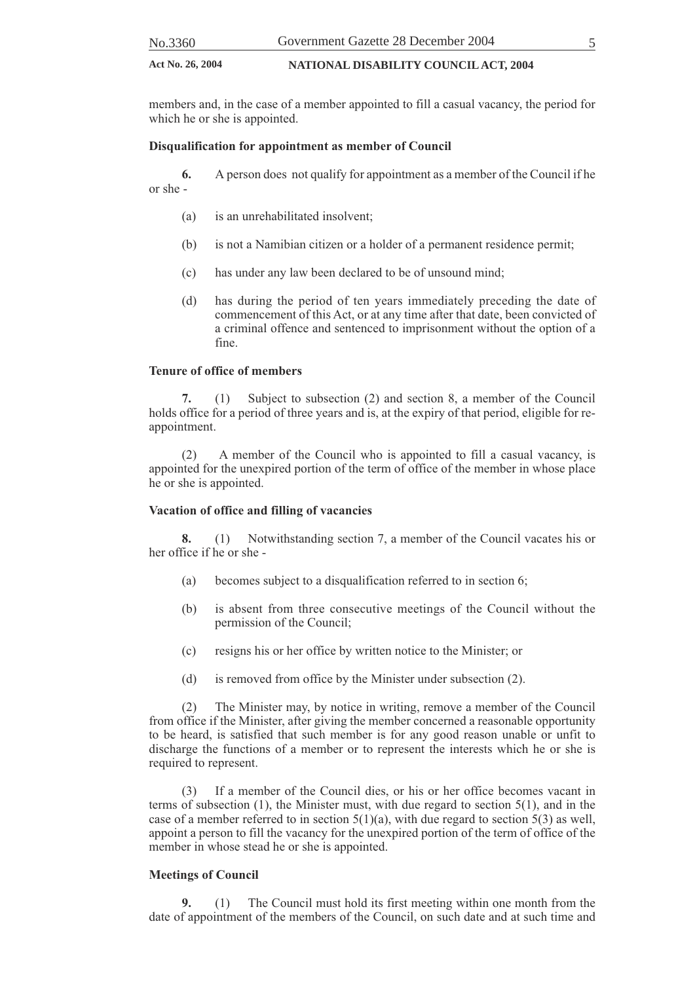| No.3360 | Government Gazette 28 December 2004 |  |
|---------|-------------------------------------|--|
|         |                                     |  |

members and, in the case of a member appointed to fill a casual vacancy, the period for which he or she is appointed.

#### **Disqualification for appointment as member of Council**

**6.** A person does not qualify for appointment as a member of the Council if he or she -

- (a) is an unrehabilitated insolvent;
- (b) is not a Namibian citizen or a holder of a permanent residence permit;
- (c) has under any law been declared to be of unsound mind;
- (d) has during the period of ten years immediately preceding the date of commencement of this Act, or at any time after that date, been convicted of a criminal offence and sentenced to imprisonment without the option of a fine.

#### **Tenure of office of members**

**7.** (1) Subject to subsection (2) and section 8, a member of the Council holds office for a period of three years and is, at the expiry of that period, eligible for reappointment.

(2) A member of the Council who is appointed to fill a casual vacancy, is appointed for the unexpired portion of the term of office of the member in whose place he or she is appointed.

#### **Vacation of office and filling of vacancies**

**8.** (1) Notwithstanding section 7, a member of the Council vacates his or her office if he or she -

- (a) becomes subject to a disqualification referred to in section 6;
- (b) is absent from three consecutive meetings of the Council without the permission of the Council;
- (c) resigns his or her office by written notice to the Minister; or
- (d) is removed from office by the Minister under subsection (2).

(2) The Minister may, by notice in writing, remove a member of the Council from office if the Minister, after giving the member concerned a reasonable opportunity to be heard, is satisfied that such member is for any good reason unable or unfit to discharge the functions of a member or to represent the interests which he or she is required to represent.

(3) If a member of the Council dies, or his or her office becomes vacant in terms of subsection (1), the Minister must, with due regard to section 5(1), and in the case of a member referred to in section  $5(1)(a)$ , with due regard to section  $5(3)$  as well, appoint a person to fill the vacancy for the unexpired portion of the term of office of the member in whose stead he or she is appointed.

#### **Meetings of Council**

**9.** (1) The Council must hold its first meeting within one month from the date of appointment of the members of the Council, on such date and at such time and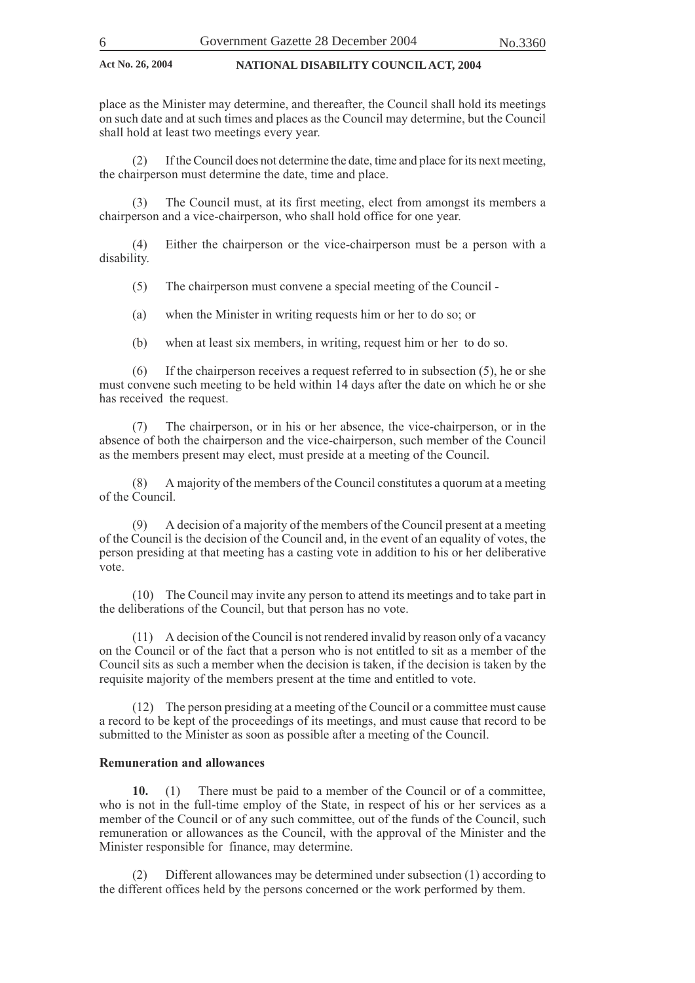place as the Minister may determine, and thereafter, the Council shall hold its meetings on such date and at such times and places as the Council may determine, but the Council shall hold at least two meetings every year.

If the Council does not determine the date, time and place for its next meeting, the chairperson must determine the date, time and place.

The Council must, at its first meeting, elect from amongst its members a chairperson and a vice-chairperson, who shall hold office for one year.

(4) Either the chairperson or the vice-chairperson must be a person with a disability.

(5) The chairperson must convene a special meeting of the Council -

(a) when the Minister in writing requests him or her to do so; or

(b) when at least six members, in writing, request him or her to do so.

(6) If the chairperson receives a request referred to in subsection (5), he or she must convene such meeting to be held within 14 days after the date on which he or she has received the request.

(7) The chairperson, or in his or her absence, the vice-chairperson, or in the absence of both the chairperson and the vice-chairperson, such member of the Council as the members present may elect, must preside at a meeting of the Council.

(8) A majority of the members of the Council constitutes a quorum at a meeting of the Council.

(9) A decision of a majority of the members of the Council present at a meeting of the Council is the decision of the Council and, in the event of an equality of votes, the person presiding at that meeting has a casting vote in addition to his or her deliberative vote.

(10) The Council may invite any person to attend its meetings and to take part in the deliberations of the Council, but that person has no vote.

(11) A decision of the Council is not rendered invalid by reason only of a vacancy on the Council or of the fact that a person who is not entitled to sit as a member of the Council sits as such a member when the decision is taken, if the decision is taken by the requisite majority of the members present at the time and entitled to vote.

(12) The person presiding at a meeting of the Council or a committee must cause a record to be kept of the proceedings of its meetings, and must cause that record to be submitted to the Minister as soon as possible after a meeting of the Council.

#### **Remuneration and allowances**

**10.** (1) There must be paid to a member of the Council or of a committee, who is not in the full-time employ of the State, in respect of his or her services as a member of the Council or of any such committee, out of the funds of the Council, such remuneration or allowances as the Council, with the approval of the Minister and the Minister responsible for finance, may determine.

(2) Different allowances may be determined under subsection (1) according to the different offices held by the persons concerned or the work performed by them.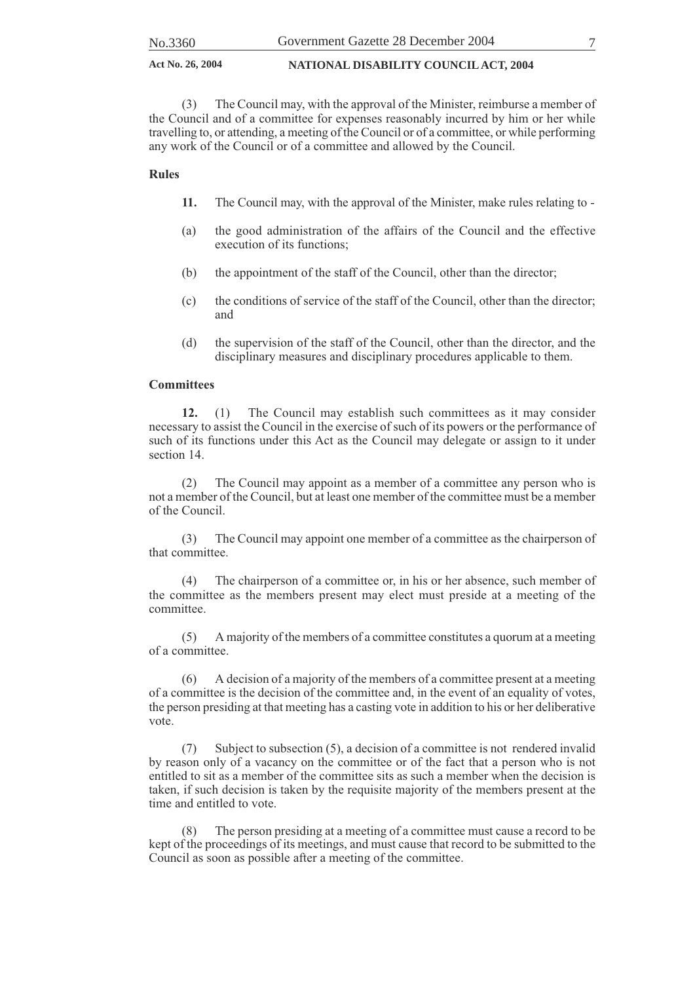(3) The Council may, with the approval of the Minister, reimburse a member of the Council and of a committee for expenses reasonably incurred by him or her while travelling to, or attending, a meeting of the Council or of a committee, or while performing any work of the Council or of a committee and allowed by the Council.

#### **Rules**

- **11.** The Council may, with the approval of the Minister, make rules relating to -
- (a) the good administration of the affairs of the Council and the effective execution of its functions;
- (b) the appointment of the staff of the Council, other than the director;
- (c) the conditions of service of the staff of the Council, other than the director; and
- (d) the supervision of the staff of the Council, other than the director, and the disciplinary measures and disciplinary procedures applicable to them.

#### **Committees**

**12.** (1) The Council may establish such committees as it may consider necessary to assist the Council in the exercise of such of its powers or the performance of such of its functions under this Act as the Council may delegate or assign to it under section 14.

(2) The Council may appoint as a member of a committee any person who is not a member of the Council, but at least one member of the committee must be a member of the Council.

(3) The Council may appoint one member of a committee as the chairperson of that committee.

(4) The chairperson of a committee or, in his or her absence, such member of the committee as the members present may elect must preside at a meeting of the committee.

(5) A majority of the members of a committee constitutes a quorum at a meeting of a committee.

(6) A decision of a majority of the members of a committee present at a meeting of a committee is the decision of the committee and, in the event of an equality of votes, the person presiding at that meeting has a casting vote in addition to his or her deliberative vote.

(7) Subject to subsection (5), a decision of a committee is not rendered invalid by reason only of a vacancy on the committee or of the fact that a person who is not entitled to sit as a member of the committee sits as such a member when the decision is taken, if such decision is taken by the requisite majority of the members present at the time and entitled to vote.

(8) The person presiding at a meeting of a committee must cause a record to be kept of the proceedings of its meetings, and must cause that record to be submitted to the Council as soon as possible after a meeting of the committee.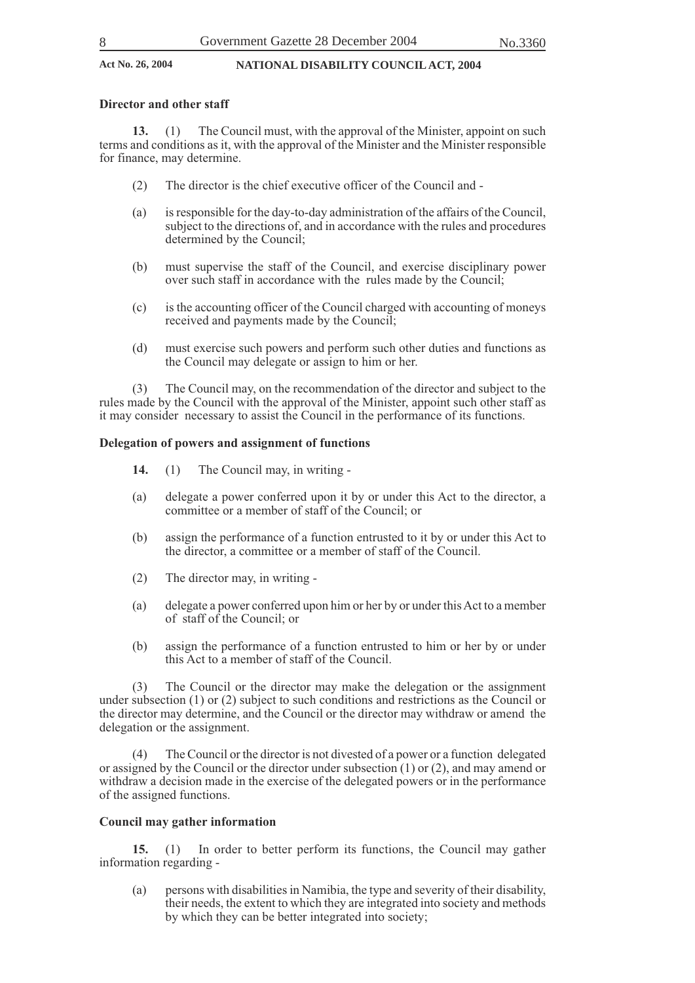#### **Director and other staff**

**13.** (1) The Council must, with the approval of the Minister, appoint on such terms and conditions as it, with the approval of the Minister and the Minister responsible for finance, may determine.

- (2) The director is the chief executive officer of the Council and -
- (a) is responsible for the day-to-day administration of the affairs of the Council, subject to the directions of, and in accordance with the rules and procedures determined by the Council;
- (b) must supervise the staff of the Council, and exercise disciplinary power over such staff in accordance with the rules made by the Council;
- (c) is the accounting officer of the Council charged with accounting of moneys received and payments made by the Council;
- (d) must exercise such powers and perform such other duties and functions as the Council may delegate or assign to him or her.

(3) The Council may, on the recommendation of the director and subject to the rules made by the Council with the approval of the Minister, appoint such other staff as it may consider necessary to assist the Council in the performance of its functions.

#### **Delegation of powers and assignment of functions**

- **14.** (1) The Council may, in writing -
- (a) delegate a power conferred upon it by or under this Act to the director, a committee or a member of staff of the Council; or
- (b) assign the performance of a function entrusted to it by or under this Act to the director, a committee or a member of staff of the Council.
- (2) The director may, in writing -
- (a) delegate a power conferred upon him or her by or under this Act to a member of staff of the Council; or
- (b) assign the performance of a function entrusted to him or her by or under this Act to a member of staff of the Council.

(3) The Council or the director may make the delegation or the assignment under subsection (1) or (2) subject to such conditions and restrictions as the Council or the director may determine, and the Council or the director may withdraw or amend the delegation or the assignment.

(4) The Council or the director is not divested of a power or a function delegated or assigned by the Council or the director under subsection (1) or (2), and may amend or withdraw a decision made in the exercise of the delegated powers or in the performance of the assigned functions.

#### **Council may gather information**

**15.** (1) In order to better perform its functions, the Council may gather information regarding -

(a) persons with disabilities in Namibia, the type and severity of their disability, their needs, the extent to which they are integrated into society and methods by which they can be better integrated into society;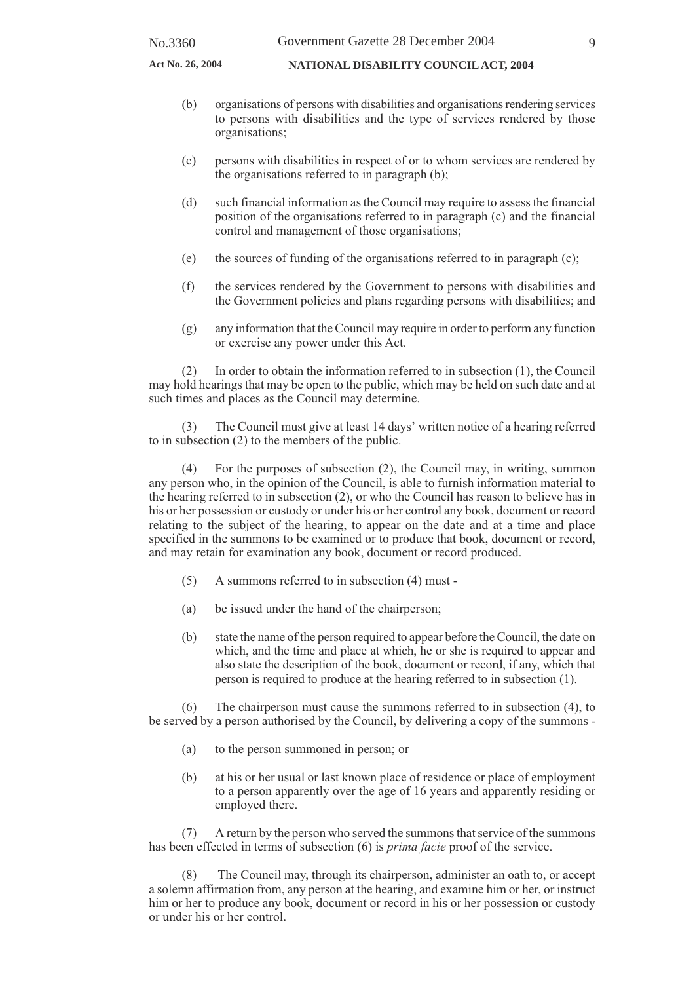- (b) organisations of persons with disabilities and organisations rendering services to persons with disabilities and the type of services rendered by those organisations;
- (c) persons with disabilities in respect of or to whom services are rendered by the organisations referred to in paragraph (b);
- (d) such financial information as the Council may require to assess the financial position of the organisations referred to in paragraph (c) and the financial control and management of those organisations;
- (e) the sources of funding of the organisations referred to in paragraph (c);
- (f) the services rendered by the Government to persons with disabilities and the Government policies and plans regarding persons with disabilities; and
- (g) any information that the Council may require in order to perform any function or exercise any power under this Act.

(2) In order to obtain the information referred to in subsection (1), the Council may hold hearings that may be open to the public, which may be held on such date and at such times and places as the Council may determine.

(3) The Council must give at least 14 days' written notice of a hearing referred to in subsection (2) to the members of the public.

(4) For the purposes of subsection (2), the Council may, in writing, summon any person who, in the opinion of the Council, is able to furnish information material to the hearing referred to in subsection (2), or who the Council has reason to believe has in his or her possession or custody or under his or her control any book, document or record relating to the subject of the hearing, to appear on the date and at a time and place specified in the summons to be examined or to produce that book, document or record, and may retain for examination any book, document or record produced.

- (5) A summons referred to in subsection (4) must -
- (a) be issued under the hand of the chairperson;
- (b) state the name of the person required to appear before the Council, the date on which, and the time and place at which, he or she is required to appear and also state the description of the book, document or record, if any, which that person is required to produce at the hearing referred to in subsection (1).

(6) The chairperson must cause the summons referred to in subsection (4), to be served by a person authorised by the Council, by delivering a copy of the summons -

- (a) to the person summoned in person; or
- (b) at his or her usual or last known place of residence or place of employment to a person apparently over the age of 16 years and apparently residing or employed there.

(7) A return by the person who served the summons that service of the summons has been effected in terms of subsection (6) is *prima facie* proof of the service.

(8) The Council may, through its chairperson, administer an oath to, or accept a solemn affirmation from, any person at the hearing, and examine him or her, or instruct him or her to produce any book, document or record in his or her possession or custody or under his or her control.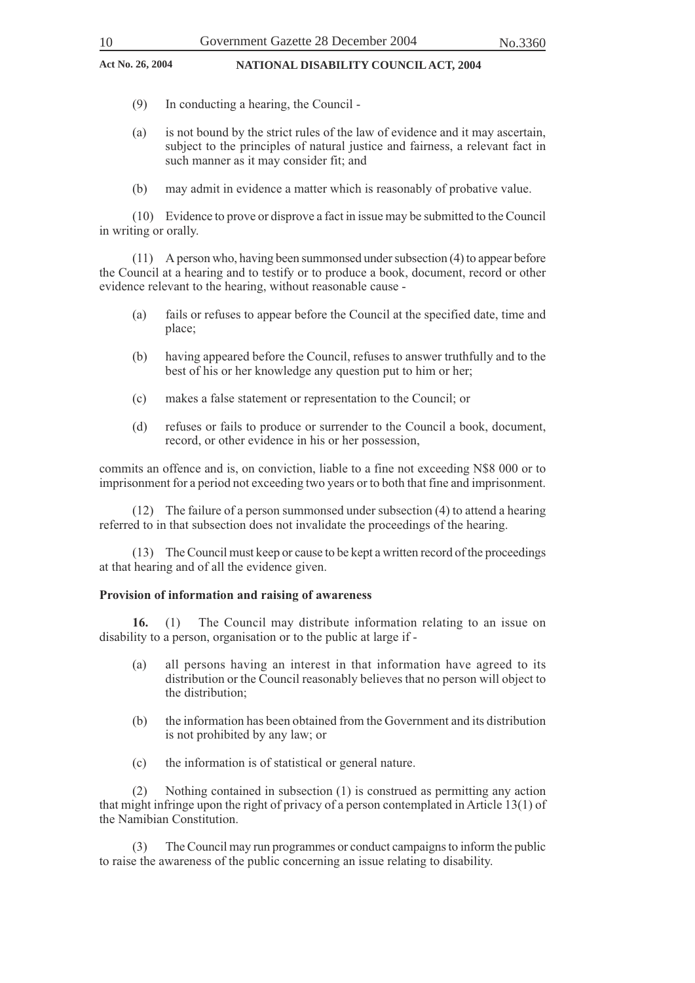- (9) In conducting a hearing, the Council -
- (a) is not bound by the strict rules of the law of evidence and it may ascertain, subject to the principles of natural justice and fairness, a relevant fact in such manner as it may consider fit; and
- (b) may admit in evidence a matter which is reasonably of probative value.

(10) Evidence to prove or disprove a fact in issue may be submitted to the Council in writing or orally.

(11) A person who, having been summonsed under subsection (4) to appear before the Council at a hearing and to testify or to produce a book, document, record or other evidence relevant to the hearing, without reasonable cause -

- (a) fails or refuses to appear before the Council at the specified date, time and place;
- (b) having appeared before the Council, refuses to answer truthfully and to the best of his or her knowledge any question put to him or her;
- (c) makes a false statement or representation to the Council; or
- (d) refuses or fails to produce or surrender to the Council a book, document, record, or other evidence in his or her possession,

commits an offence and is, on conviction, liable to a fine not exceeding N\$8 000 or to imprisonment for a period not exceeding two years or to both that fine and imprisonment.

(12) The failure of a person summonsed under subsection (4) to attend a hearing referred to in that subsection does not invalidate the proceedings of the hearing.

(13) The Council must keep or cause to be kept a written record of the proceedings at that hearing and of all the evidence given.

#### **Provision of information and raising of awareness**

**16.** (1) The Council may distribute information relating to an issue on disability to a person, organisation or to the public at large if -

- (a) all persons having an interest in that information have agreed to its distribution or the Council reasonably believes that no person will object to the distribution;
- (b) the information has been obtained from the Government and its distribution is not prohibited by any law; or
- (c) the information is of statistical or general nature.

(2) Nothing contained in subsection (1) is construed as permitting any action that might infringe upon the right of privacy of a person contemplated in Article 13(1) of the Namibian Constitution.

(3) The Council may run programmes or conduct campaigns to inform the public to raise the awareness of the public concerning an issue relating to disability.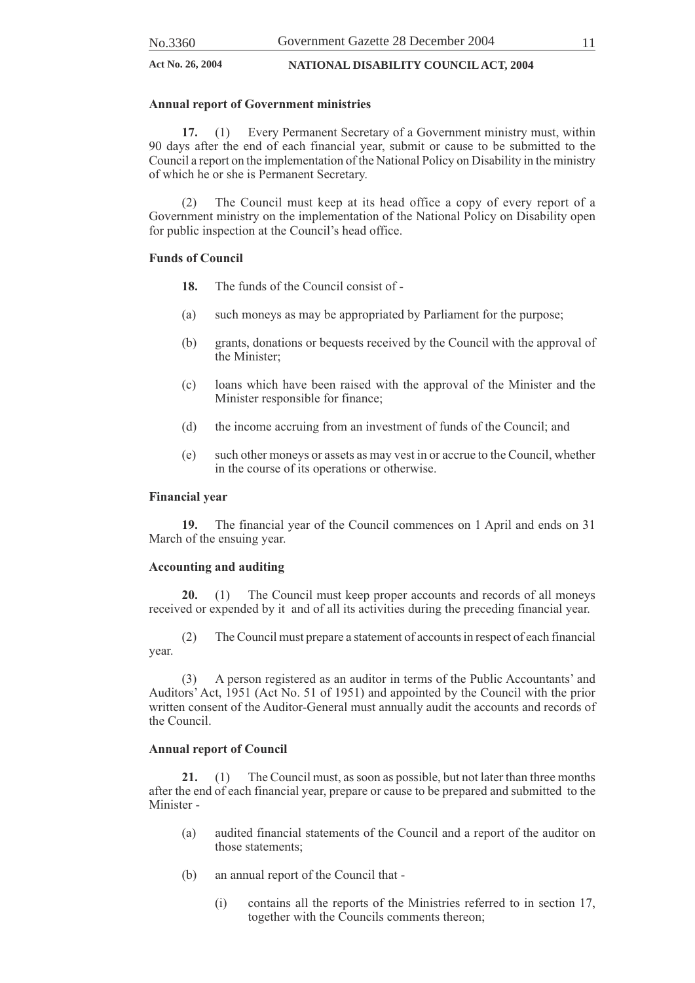#### **Annual report of Government ministries**

**17.** (1) Every Permanent Secretary of a Government ministry must, within 90 days after the end of each financial year, submit or cause to be submitted to the Council a report on the implementation of the National Policy on Disability in the ministry of which he or she is Permanent Secretary.

(2) The Council must keep at its head office a copy of every report of a Government ministry on the implementation of the National Policy on Disability open for public inspection at the Council's head office.

#### **Funds of Council**

- **18.** The funds of the Council consist of -
- (a) such moneys as may be appropriated by Parliament for the purpose;
- (b) grants, donations or bequests received by the Council with the approval of the Minister;
- (c) loans which have been raised with the approval of the Minister and the Minister responsible for finance;
- (d) the income accruing from an investment of funds of the Council; and
- (e) such other moneys or assets as may vest in or accrue to the Council, whether in the course of its operations or otherwise.

#### **Financial year**

**19.** The financial year of the Council commences on 1 April and ends on 31 March of the ensuing year.

#### **Accounting and auditing**

**20.** (1) The Council must keep proper accounts and records of all moneys received or expended by it and of all its activities during the preceding financial year.

(2) The Council must prepare a statement of accounts in respect of each financial year.

(3) A person registered as an auditor in terms of the Public Accountants' and Auditors' Act, 1951 (Act No. 51 of 1951) and appointed by the Council with the prior written consent of the Auditor-General must annually audit the accounts and records of the Council.

#### **Annual report of Council**

**21.** (1) The Council must, as soon as possible, but not later than three months after the end of each financial year, prepare or cause to be prepared and submitted to the Minister -

- (a) audited financial statements of the Council and a report of the auditor on those statements;
- (b) an annual report of the Council that
	- (i) contains all the reports of the Ministries referred to in section 17, together with the Councils comments thereon;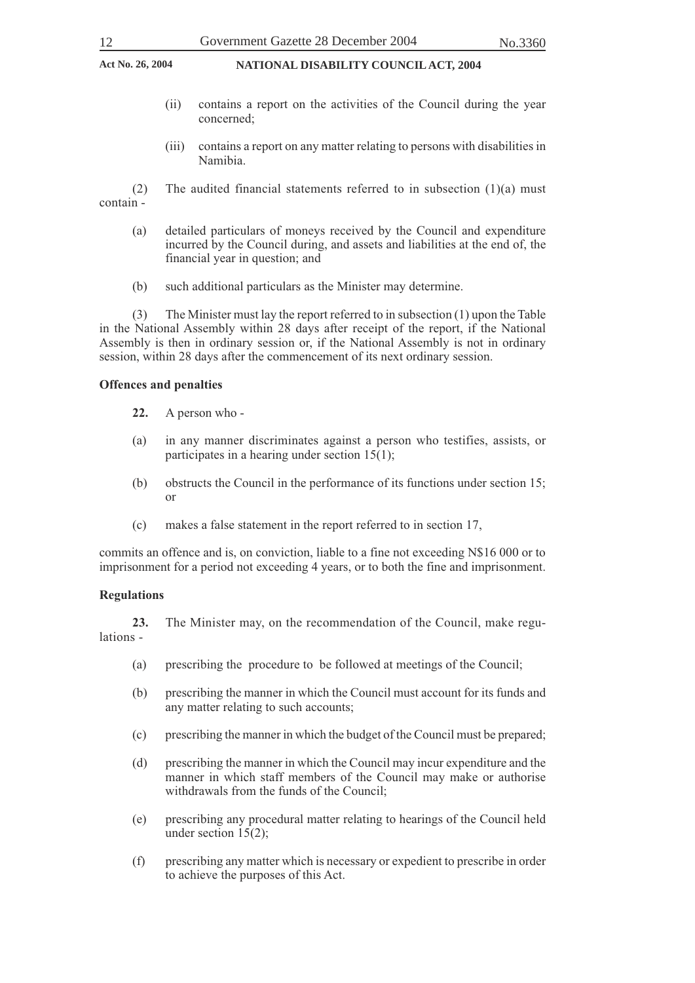- (ii) contains a report on the activities of the Council during the year concerned;
- (iii) contains a report on any matter relating to persons with disabilities in Namibia.

(2) The audited financial statements referred to in subsection  $(1)(a)$  must contain -

- (a) detailed particulars of moneys received by the Council and expenditure incurred by the Council during, and assets and liabilities at the end of, the financial year in question; and
- (b) such additional particulars as the Minister may determine.

(3) The Minister must lay the report referred to in subsection (1) upon the Table in the National Assembly within 28 days after receipt of the report, if the National Assembly is then in ordinary session or, if the National Assembly is not in ordinary session, within 28 days after the commencement of its next ordinary session.

#### **Offences and penalties**

- **22.** A person who -
- (a) in any manner discriminates against a person who testifies, assists, or participates in a hearing under section 15(1);
- (b) obstructs the Council in the performance of its functions under section 15; or
- (c) makes a false statement in the report referred to in section 17,

commits an offence and is, on conviction, liable to a fine not exceeding N\$16 000 or to imprisonment for a period not exceeding 4 years, or to both the fine and imprisonment.

#### **Regulations**

**23.** The Minister may, on the recommendation of the Council, make regulations -

- (a) prescribing the procedure to be followed at meetings of the Council;
- (b) prescribing the manner in which the Council must account for its funds and any matter relating to such accounts;
- (c) prescribing the manner in which the budget of the Council must be prepared;
- (d) prescribing the manner in which the Council may incur expenditure and the manner in which staff members of the Council may make or authorise withdrawals from the funds of the Council;
- (e) prescribing any procedural matter relating to hearings of the Council held under section 15(2);
- (f) prescribing any matter which is necessary or expedient to prescribe in order to achieve the purposes of this Act.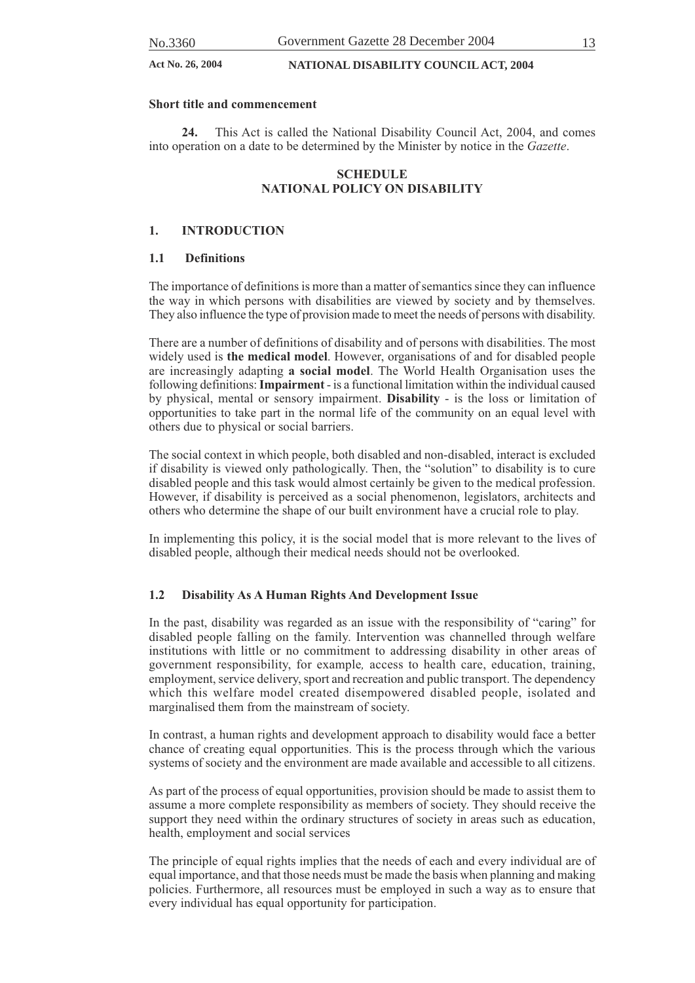#### **Short title and commencement**

**24.** This Act is called the National Disability Council Act, 2004, and comes into operation on a date to be determined by the Minister by notice in the *Gazette*.

#### **SCHEDULE NATIONAL POLICY ON DISABILITY**

#### **1. INTRODUCTION**

#### **1.1 Definitions**

The importance of definitions is more than a matter of semantics since they can influence the way in which persons with disabilities are viewed by society and by themselves. They also influence the type of provision made to meet the needs of persons with disability.

There are a number of definitions of disability and of persons with disabilities. The most widely used is **the medical model**. However, organisations of and for disabled people are increasingly adapting **a social model**. The World Health Organisation uses the following definitions: **Impairment** - is a functional limitation within the individual caused by physical, mental or sensory impairment. **Disability** - is the loss or limitation of opportunities to take part in the normal life of the community on an equal level with others due to physical or social barriers.

The social context in which people, both disabled and non-disabled, interact is excluded if disability is viewed only pathologically. Then, the "solution" to disability is to cure disabled people and this task would almost certainly be given to the medical profession. However, if disability is perceived as a social phenomenon, legislators, architects and others who determine the shape of our built environment have a crucial role to play.

In implementing this policy, it is the social model that is more relevant to the lives of disabled people, although their medical needs should not be overlooked.

#### **1.2 Disability As A Human Rights And Development Issue**

In the past, disability was regarded as an issue with the responsibility of "caring" for disabled people falling on the family. Intervention was channelled through welfare institutions with little or no commitment to addressing disability in other areas of government responsibility, for example*,* access to health care, education, training, employment, service delivery, sport and recreation and public transport. The dependency which this welfare model created disempowered disabled people, isolated and marginalised them from the mainstream of society.

In contrast, a human rights and development approach to disability would face a better chance of creating equal opportunities. This is the process through which the various systems of society and the environment are made available and accessible to all citizens.

As part of the process of equal opportunities, provision should be made to assist them to assume a more complete responsibility as members of society. They should receive the support they need within the ordinary structures of society in areas such as education, health, employment and social services

The principle of equal rights implies that the needs of each and every individual are of equal importance, and that those needs must be made the basis when planning and making policies. Furthermore, all resources must be employed in such a way as to ensure that every individual has equal opportunity for participation.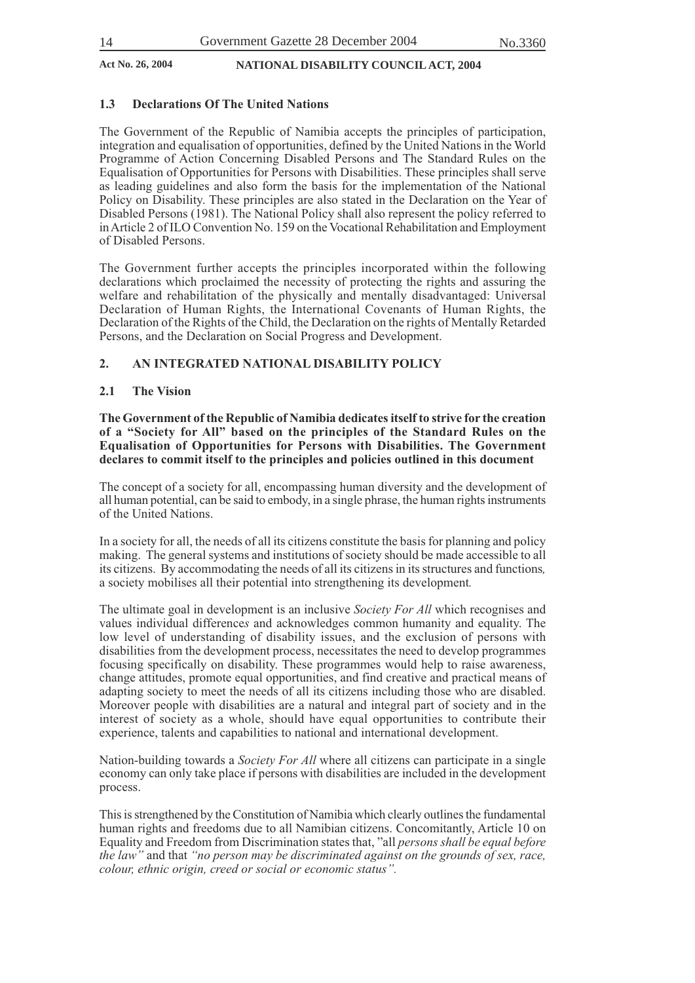#### **1.3 Declarations Of The United Nations**

The Government of the Republic of Namibia accepts the principles of participation, integration and equalisation of opportunities, defined by the United Nations in the World Programme of Action Concerning Disabled Persons and The Standard Rules on the Equalisation of Opportunities for Persons with Disabilities. These principles shall serve as leading guidelines and also form the basis for the implementation of the National Policy on Disability. These principles are also stated in the Declaration on the Year of Disabled Persons (1981). The National Policy shall also represent the policy referred to in Article 2 of ILO Convention No. 159 on the Vocational Rehabilitation and Employment of Disabled Persons.

The Government further accepts the principles incorporated within the following declarations which proclaimed the necessity of protecting the rights and assuring the welfare and rehabilitation of the physically and mentally disadvantaged: Universal Declaration of Human Rights, the International Covenants of Human Rights, the Declaration of the Rights of the Child, the Declaration on the rights of Mentally Retarded Persons, and the Declaration on Social Progress and Development.

#### **2. AN INTEGRATED NATIONAL DISABILITY POLICY**

#### **2.1 The Vision**

**The Government of the Republic of Namibia dedicates itself to strive for the creation of a "Society for All" based on the principles of the Standard Rules on the Equalisation of Opportunities for Persons with Disabilities. The Government declares to commit itself to the principles and policies outlined in this document**

The concept of a society for all, encompassing human diversity and the development of all human potential, can be said to embody, in a single phrase, the human rights instruments of the United Nations.

In a society for all, the needs of all its citizens constitute the basis for planning and policy making. The general systems and institutions of society should be made accessible to all its citizens. By accommodating the needs of all its citizens in its structures and functions*,* a society mobilises all their potential into strengthening its development*.*

The ultimate goal in development is an inclusive *Society For All* which recognises and values individual difference*s* and acknowledges common humanity and equality. The low level of understanding of disability issues, and the exclusion of persons with disabilities from the development process, necessitates the need to develop programmes focusing specifically on disability. These programmes would help to raise awareness, change attitudes, promote equal opportunities, and find creative and practical means of adapting society to meet the needs of all its citizens including those who are disabled. Moreover people with disabilities are a natural and integral part of society and in the interest of society as a whole, should have equal opportunities to contribute their experience, talents and capabilities to national and international development.

Nation-building towards a *Society For All* where all citizens can participate in a single economy can only take place if persons with disabilities are included in the development process.

This is strengthened by the Constitution of Namibia which clearly outlines the fundamental human rights and freedoms due to all Namibian citizens. Concomitantly, Article 10 on Equality and Freedom from Discrimination states that, "all *persons shall be equal before the law"* and that *"no person may be discriminated against on the grounds of sex, race, colour, ethnic origin, creed or social or economic status".*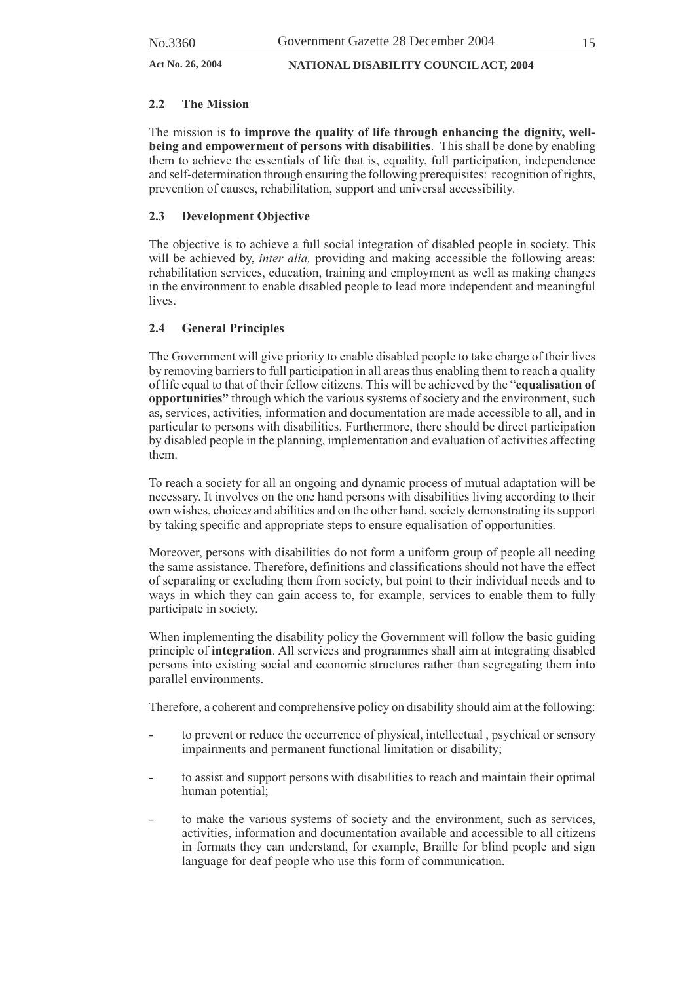#### **2.2 The Mission**

The mission is **to improve the quality of life through enhancing the dignity, wellbeing and empowerment of persons with disabilities**.This shall be done by enabling them to achieve the essentials of life that is, equality, full participation, independence and self-determination through ensuring the following prerequisites: recognition of rights, prevention of causes, rehabilitation, support and universal accessibility.

### **2.3 Development Objective**

The objective is to achieve a full social integration of disabled people in society. This will be achieved by, *inter alia*, providing and making accessible the following areas: rehabilitation services, education, training and employment as well as making changes in the environment to enable disabled people to lead more independent and meaningful lives.

### **2.4 General Principles**

The Government will give priority to enable disabled people to take charge of their lives by removing barriers to full participation in all areas thus enabling them to reach a quality of life equal to that of their fellow citizens. This will be achieved by the "**equalisation of opportunities"** through which the various systems of society and the environment, such as, services, activities, information and documentation are made accessible to all, and in particular to persons with disabilities. Furthermore, there should be direct participation by disabled people in the planning, implementation and evaluation of activities affecting them.

To reach a society for all an ongoing and dynamic process of mutual adaptation will be necessary. It involves on the one hand persons with disabilities living according to their own wishes, choice*s* and abilities and on the other hand, society demonstrating its support by taking specific and appropriate steps to ensure equalisation of opportunities.

Moreover, persons with disabilities do not form a uniform group of people all needing the same assistance. Therefore, definitions and classifications should not have the effect of separating or excluding them from society, but point to their individual needs and to ways in which they can gain access to, for example, services to enable them to fully participate in society.

When implementing the disability policy the Government will follow the basic guiding principle of **integration**. All services and programmes shall aim at integrating disabled persons into existing social and economic structures rather than segregating them into parallel environments.

Therefore, a coherent and comprehensive policy on disability should aim at the following:

- to prevent or reduce the occurrence of physical, intellectual, psychical or sensory impairments and permanent functional limitation or disability;
- to assist and support persons with disabilities to reach and maintain their optimal human potential;
- to make the various systems of society and the environment, such as services, activities, information and documentation available and accessible to all citizens in formats they can understand, for example, Braille for blind people and sign language for deaf people who use this form of communication.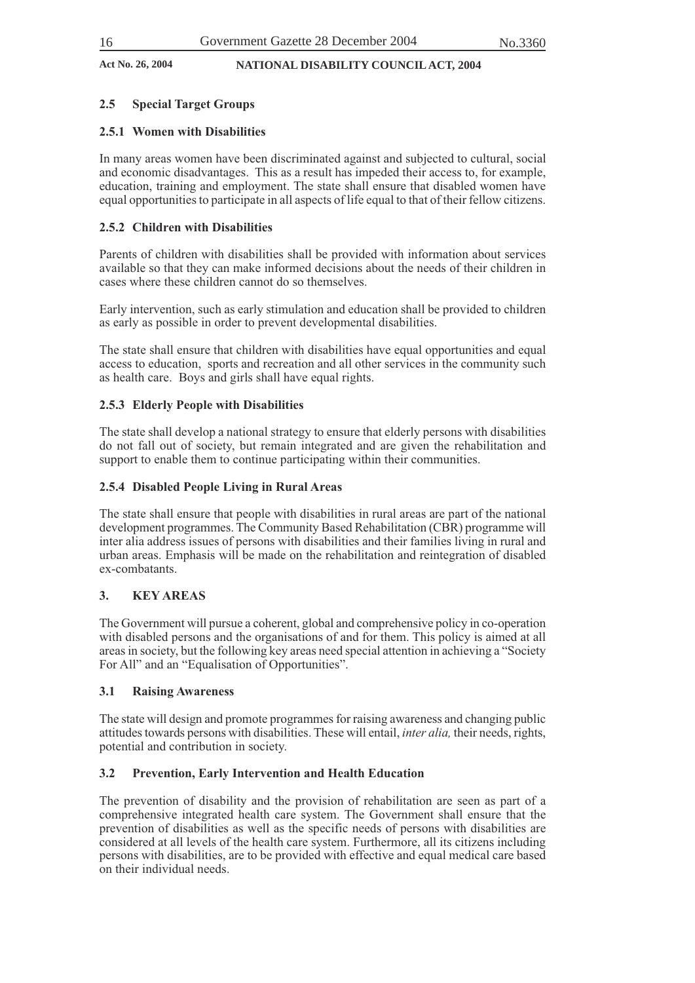#### **2.5 Special Target Groups**

#### **2.5.1 Women with Disabilities**

In many areas women have been discriminated against and subjected to cultural, social and economic disadvantages. This as a result has impeded their access to, for example, education, training and employment. The state shall ensure that disabled women have equal opportunities to participate in all aspects of life equal to that of their fellow citizens.

#### **2.5.2 Children with Disabilities**

Parents of children with disabilities shall be provided with information about services available so that they can make informed decisions about the needs of their children in cases where these children cannot do so themselves.

Early intervention, such as early stimulation and education shall be provided to children as early as possible in order to prevent developmental disabilities.

The state shall ensure that children with disabilities have equal opportunities and equal access to education, sports and recreation and all other services in the community such as health care. Boys and girls shall have equal rights.

#### **2.5.3 Elderly People with Disabilities**

The state shall develop a national strategy to ensure that elderly persons with disabilities do not fall out of society, but remain integrated and are given the rehabilitation and support to enable them to continue participating within their communities.

#### **2.5.4 Disabled People Living in Rural Areas**

The state shall ensure that people with disabilities in rural areas are part of the national development programmes. The Community Based Rehabilitation (CBR) programme will inter alia address issues of persons with disabilities and their families living in rural and urban areas. Emphasis will be made on the rehabilitation and reintegration of disabled ex-combatants.

#### **3. KEY AREAS**

The Government will pursue a coherent, global and comprehensive policy in co-operation with disabled persons and the organisations of and for them. This policy is aimed at all areas in society, but the following key areas need special attention in achieving a "Society For All" and an "Equalisation of Opportunities".

#### **3.1 Raising Awareness**

The state will design and promote programmes for raising awareness and changing public attitudes towards persons with disabilities. These will entail, *inter alia,* their needs, rights, potential and contribution in society.

#### **3.2 Prevention, Early Intervention and Health Education**

The prevention of disability and the provision of rehabilitation are seen as part of a comprehensive integrated health care system. The Government shall ensure that the prevention of disabilities as well as the specific needs of persons with disabilities are considered at all levels of the health care system. Furthermore, all its citizens including persons with disabilities, are to be provided with effective and equal medical care based on their individual needs.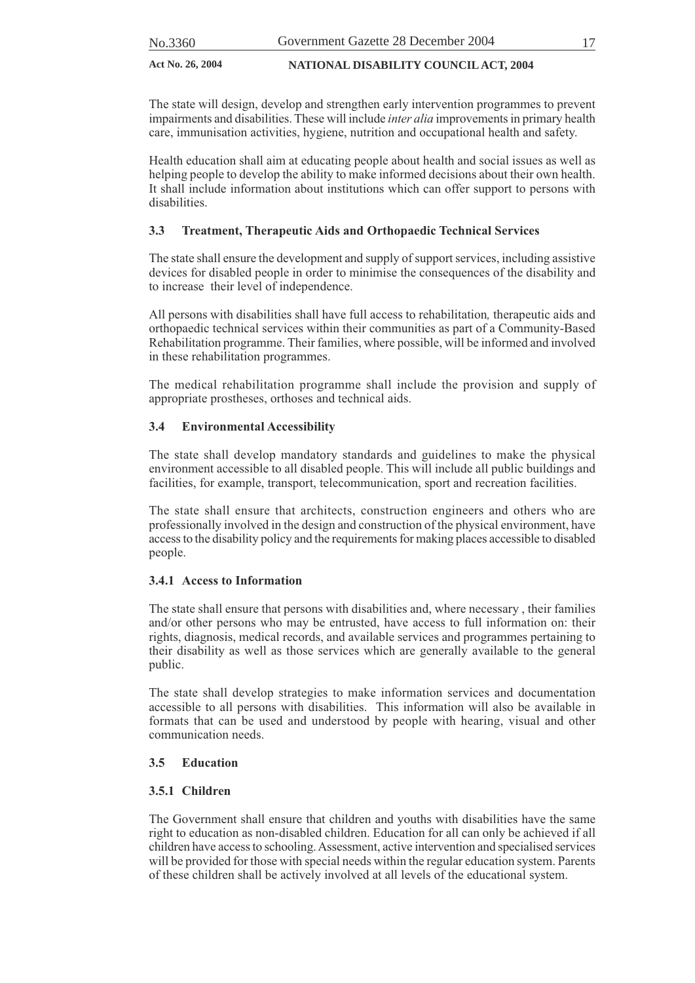The state will design, develop and strengthen early intervention programmes to prevent impairments and disabilities. These will include *inter alia* improvements in primary health care, immunisation activities, hygiene, nutrition and occupational health and safety.

Health education shall aim at educating people about health and social issues as well as helping people to develop the ability to make informed decisions about their own health. It shall include information about institutions which can offer support to persons with disabilities.

### **3.3 Treatment, Therapeutic Aids and Orthopaedic Technical Services**

The state shall ensure the development and supply of support services, including assistive devices for disabled people in order to minimise the consequences of the disability and to increase their level of independence.

All persons with disabilities shall have full access to rehabilitation*,* therapeutic aids and orthopaedic technical services within their communities as part of a Community-Based Rehabilitation programme. Their families, where possible, will be informed and involved in these rehabilitation programmes.

The medical rehabilitation programme shall include the provision and supply of appropriate prostheses, orthoses and technical aids.

### **3.4 Environmental Accessibility**

The state shall develop mandatory standards and guidelines to make the physical environment accessible to all disabled people. This will include all public buildings and facilities, for example, transport, telecommunication, sport and recreation facilities.

The state shall ensure that architects, construction engineers and others who are professionally involved in the design and construction of the physical environment, have access to the disability policy and the requirements for making places accessible to disabled people.

#### **3.4.1 Access to Information**

The state shall ensure that persons with disabilities and, where necessary , their families and/or other persons who may be entrusted, have access to full information on: their rights, diagnosis, medical records, and available services and programmes pertaining to their disability as well as those services which are generally available to the general public.

The state shall develop strategies to make information services and documentation accessible to all persons with disabilities. This information will also be available in formats that can be used and understood by people with hearing, visual and other communication needs.

#### **3.5 Education**

#### **3.5.1 Children**

The Government shall ensure that children and youths with disabilities have the same right to education as non-disabled children. Education for all can only be achieved if all children have access to schooling. Assessment, active intervention and specialised services will be provided for those with special needs within the regular education system. Parents of these children shall be actively involved at all levels of the educational system.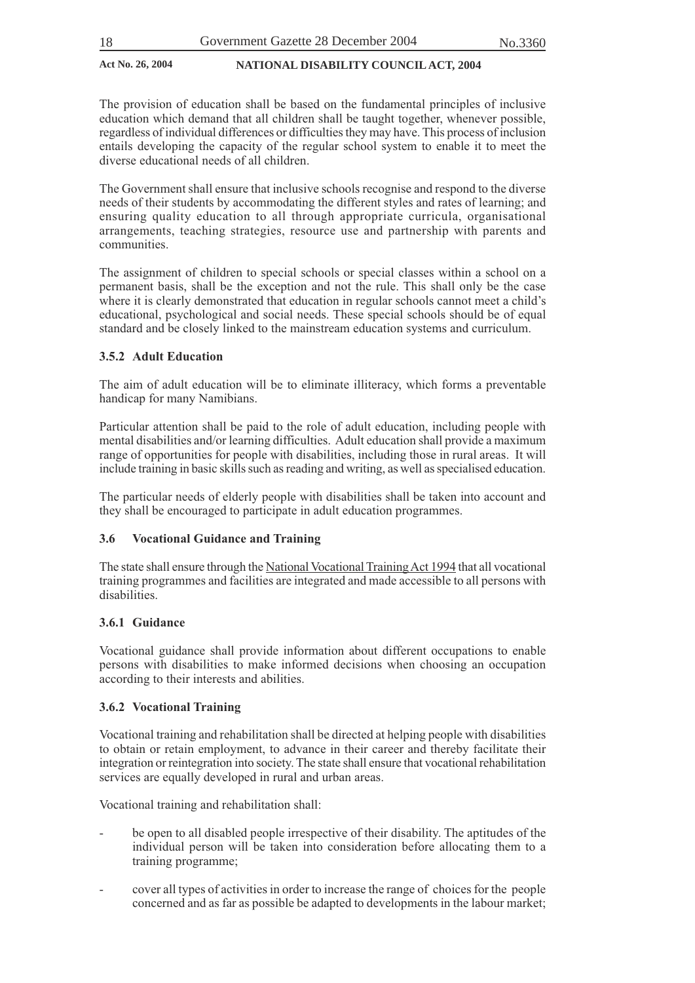The provision of education shall be based on the fundamental principles of inclusive education which demand that all children shall be taught together, whenever possible, regardless of individual differences or difficulties they may have. This process of inclusion entails developing the capacity of the regular school system to enable it to meet the diverse educational needs of all children.

The Government shall ensure that inclusive schools recognise and respond to the diverse needs of their students by accommodating the different styles and rates of learning; and ensuring quality education to all through appropriate curricula, organisational arrangements, teaching strategies, resource use and partnership with parents and communities.

The assignment of children to special schools or special classes within a school on a permanent basis, shall be the exception and not the rule. This shall only be the case where it is clearly demonstrated that education in regular schools cannot meet a child's educational, psychological and social needs. These special schools should be of equal standard and be closely linked to the mainstream education systems and curriculum.

#### **3.5.2 Adult Education**

The aim of adult education will be to eliminate illiteracy, which forms a preventable handicap for many Namibians.

Particular attention shall be paid to the role of adult education, including people with mental disabilities and/or learning difficulties. Adult education shall provide a maximum range of opportunities for people with disabilities, including those in rural areas. It will include training in basic skills such as reading and writing, as well as specialised education.

The particular needs of elderly people with disabilities shall be taken into account and they shall be encouraged to participate in adult education programmes.

#### **3.6 Vocational Guidance and Training**

The state shall ensure through the National Vocational Training Act 1994 that all vocational training programmes and facilities are integrated and made accessible to all persons with disabilities.

#### **3.6.1 Guidance**

Vocational guidance shall provide information about different occupations to enable persons with disabilities to make informed decisions when choosing an occupation according to their interests and abilities.

#### **3.6.2 Vocational Training**

Vocational training and rehabilitation shall be directed at helping people with disabilities to obtain or retain employment, to advance in their career and thereby facilitate their integration or reintegration into society. The state shall ensure that vocational rehabilitation services are equally developed in rural and urban areas.

Vocational training and rehabilitation shall:

- be open to all disabled people irrespective of their disability. The aptitudes of the individual person will be taken into consideration before allocating them to a training programme;
- cover all types of activities in order to increase the range of choices for the people concerned and as far as possible be adapted to developments in the labour market;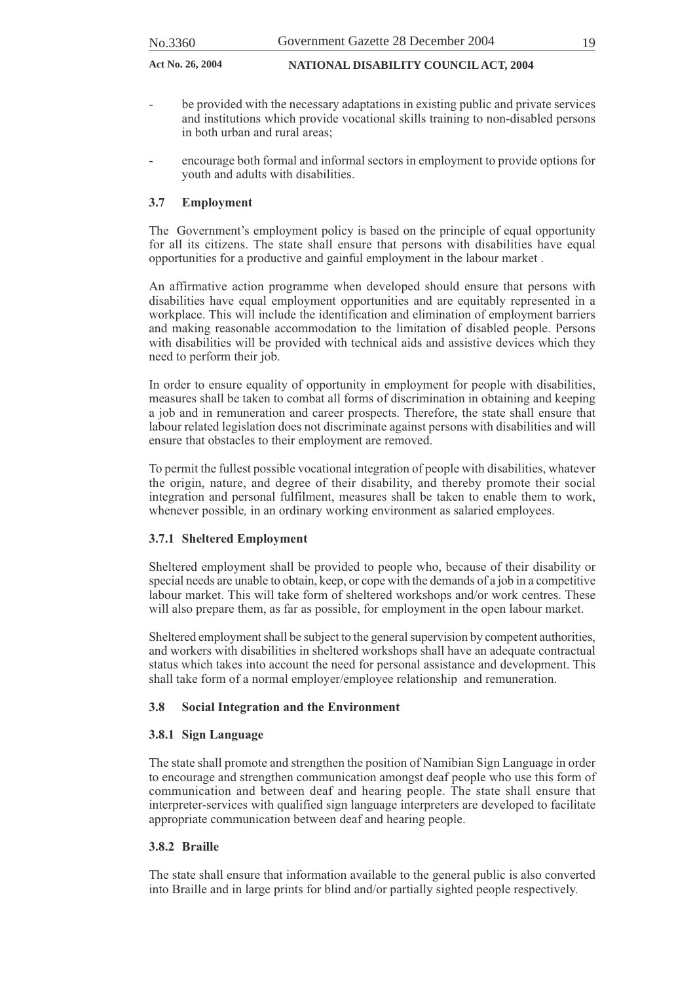- be provided with the necessary adaptations in existing public and private services and institutions which provide vocational skills training to non-disabled persons in both urban and rural areas;
- encourage both formal and informal sectors in employment to provide options for youth and adults with disabilities.

#### **3.7 Employment**

The Government's employment policy is based on the principle of equal opportunity for all its citizens. The state shall ensure that persons with disabilities have equal opportunities for a productive and gainful employment in the labour market .

An affirmative action programme when developed should ensure that persons with disabilities have equal employment opportunities and are equitably represented in a workplace. This will include the identification and elimination of employment barriers and making reasonable accommodation to the limitation of disabled people. Persons with disabilities will be provided with technical aids and assistive devices which they need to perform their job.

In order to ensure equality of opportunity in employment for people with disabilities, measures shall be taken to combat all forms of discrimination in obtaining and keeping a job and in remuneration and career prospects. Therefore, the state shall ensure that labour related legislation does not discriminate against persons with disabilities and will ensure that obstacles to their employment are removed.

To permit the fullest possible vocational integration of people with disabilities, whatever the origin, nature, and degree of their disability, and thereby promote their social integration and personal fulfilment, measures shall be taken to enable them to work, whenever possible, in an ordinary working environment as salaried employees.

#### **3.7.1 Sheltered Employment**

Sheltered employment shall be provided to people who, because of their disability or special needs are unable to obtain, keep, or cope with the demands of a job in a competitive labour market. This will take form of sheltered workshops and/or work centres. These will also prepare them, as far as possible, for employment in the open labour market.

Sheltered employment shall be subject to the general supervision by competent authorities, and workers with disabilities in sheltered workshops shall have an adequate contractual status which takes into account the need for personal assistance and development. This shall take form of a normal employer/employee relationship and remuneration.

#### **3.8 Social Integration and the Environment**

#### **3.8.1 Sign Language**

The state shall promote and strengthen the position of Namibian Sign Language in order to encourage and strengthen communication amongst deaf people who use this form of communication and between deaf and hearing people. The state shall ensure that interpreter-services with qualified sign language interpreters are developed to facilitate appropriate communication between deaf and hearing people.

#### **3.8.2 Braille**

The state shall ensure that information available to the general public is also converted into Braille and in large prints for blind and/or partially sighted people respectively.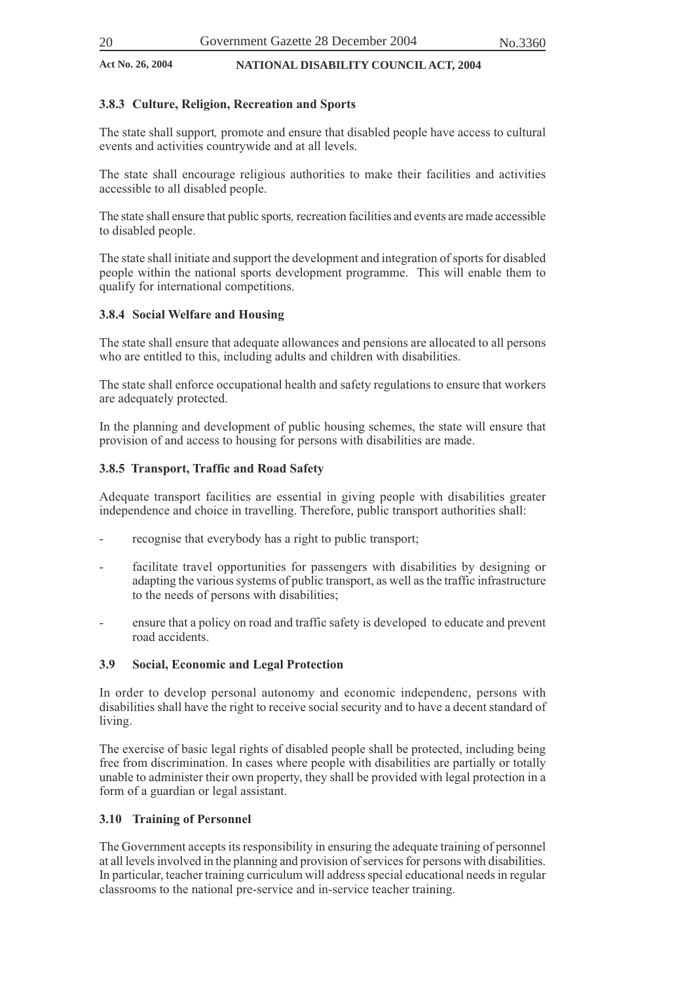#### **3.8.3 Culture, Religion, Recreation and Sports**

The state shall support*,* promote and ensure that disabled people have access to cultural events and activities countrywide and at all levels.

The state shall encourage religious authorities to make their facilities and activities accessible to all disabled people.

The state shall ensure that public sports*,* recreation facilities and events are made accessible to disabled people.

The state shall initiate and support the development and integration of sports for disabled people within the national sports development programme. This will enable them to qualify for international competitions.

#### **3.8.4 Social Welfare and Housing**

The state shall ensure that adequate allowances and pensions are allocated to all persons who are entitled to this, including adults and children with disabilities.

The state shall enforce occupational health and safety regulations to ensure that workers are adequately protected.

In the planning and development of public housing schemes, the state will ensure that provision of and access to housing for persons with disabilities are made.

#### **3.8.5 Transport, Traffic and Road Safety**

Adequate transport facilities are essential in giving people with disabilities greater independence and choice in travelling. Therefore, public transport authorities shall:

- recognise that everybody has a right to public transport;
- facilitate travel opportunities for passengers with disabilities by designing or adapting the various systems of public transport, as well as the traffic infrastructure to the needs of persons with disabilities;
- ensure that a policy on road and traffic safety is developed to educate and prevent road accidents.

#### **3.9 Social, Economic and Legal Protection**

In order to develop personal autonomy and economic independenc, persons with disabilities shall have the right to receive social security and to have a decent standard of living.

The exercise of basic legal rights of disabled people shall be protected, including being free from discrimination. In cases where people with disabilities are partially or totally unable to administer their own property, they shall be provided with legal protection in a form of a guardian or legal assistant.

#### **3.10 Training of Personnel**

The Government accepts its responsibility in ensuring the adequate training of personnel at all levels involved in the planning and provision of services for persons with disabilities. In particular, teacher training curriculum will address special educational needs in regular classrooms to the national pre-service and in-service teacher training.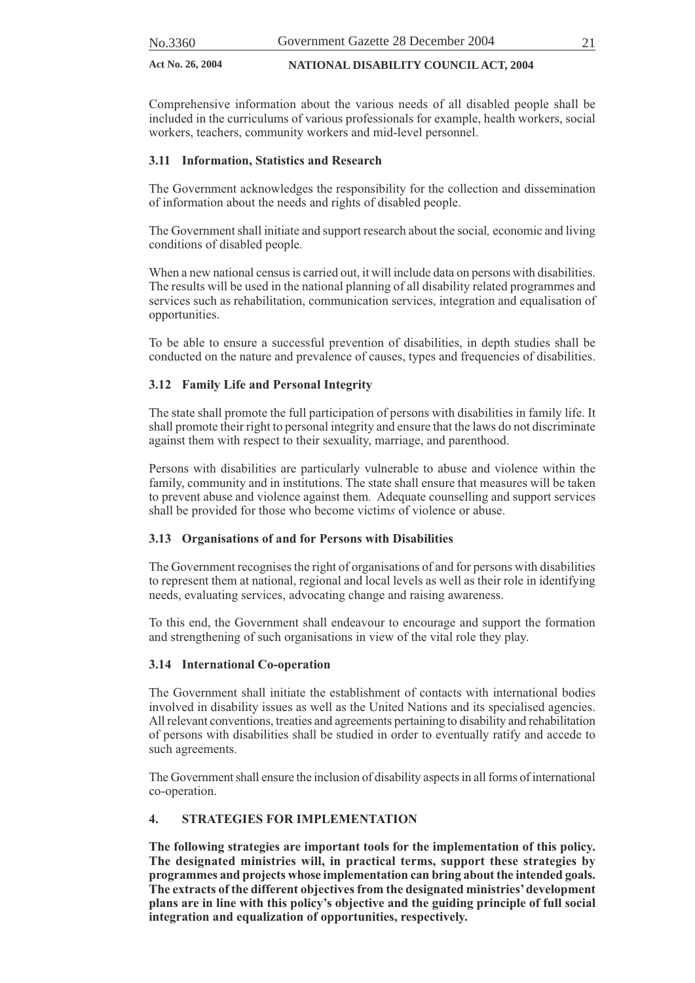Comprehensive information about the various needs of all disabled people shall be included in the curriculums of various professionals for example, health workers, social workers, teachers, community workers and mid-level personnel.

#### **3.11 Information, Statistics and Research**

The Government acknowledges the responsibility for the collection and dissemination of information about the needs and rights of disabled people.

The Government shall initiate and support research about the social*,* economic and living conditions of disabled people*.*

When a new national census is carried out, it will include data on persons with disabilities. The results will be used in the national planning of all disability related programmes and services such as rehabilitation, communication services, integration and equalisation of opportunities.

To be able to ensure a successful prevention of disabilities, in depth studies shall be conducted on the nature and prevalence of causes, types and frequencies of disabilities.

#### **3.12 Family Life and Personal Integrity**

The state shall promote the full participation of persons with disabilities in family life. It shall promote their right to personal integrity and ensure that the laws do not discriminate against them with respect to their sexuality, marriage, and parenthood.

Persons with disabilities are particularly vulnerable to abuse and violence within the family, community and in institutions. The state shall ensure that measures will be taken to prevent abuse and violence against them*.* Adequate counselling and support services shall be provided for those who become victim*s* of violence or abuse.

#### **3.13 Organisations of and for Persons with Disabilities**

The Government recognises the right of organisations of and for persons with disabilities to represent them at national, regional and local levels as well as their role in identifying needs, evaluating services, advocating change and raising awareness.

To this end, the Government shall endeavour to encourage and support the formation and strengthening of such organisations in view of the vital role they play.

#### **3.14 International Co-operation**

The Government shall initiate the establishment of contacts with international bodies involved in disability issues as well as the United Nations and its specialised agencies. All relevant conventions, treaties and agreements pertaining to disability and rehabilitation of persons with disabilities shall be studied in order to eventually ratify and accede to such agreements.

The Government shall ensure the inclusion of disability aspects in all forms of international co-operation.

#### **4. STRATEGIES FOR IMPLEMENTATION**

**The following strategies are important tools for the implementation of this policy. The designated ministries will, in practical terms, support these strategies by programmes and projects whose implementation can bring about the intended goals. The extracts of the different objectives from the designated ministries' development plans are in line with this policy's objective and the guiding principle of full social integration and equalization of opportunities, respectively.**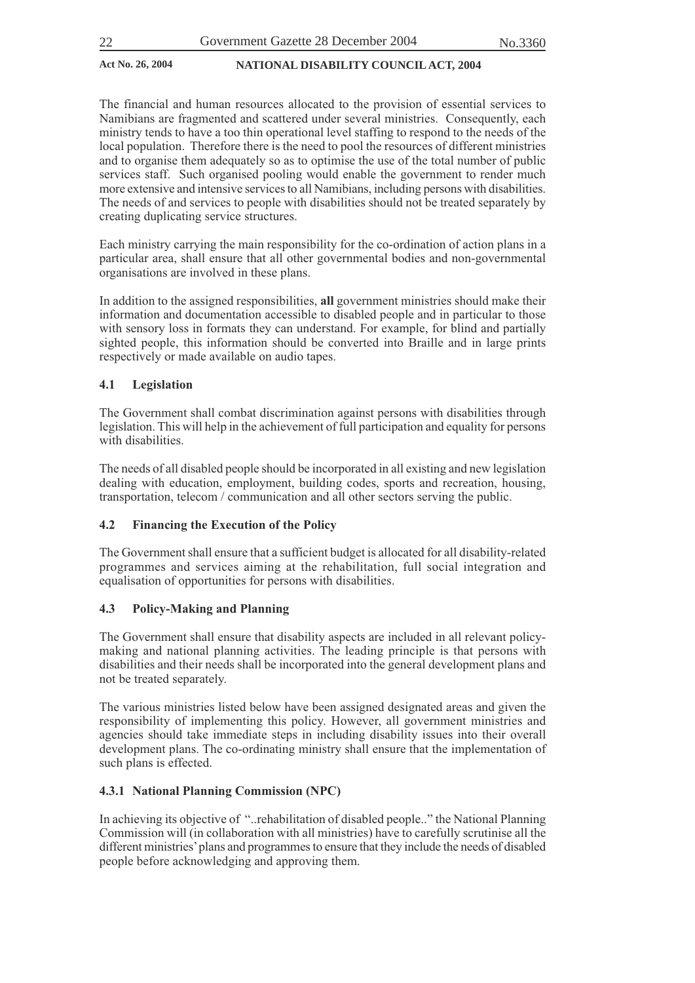The financial and human resources allocated to the provision of essential services to Namibians are fragmented and scattered under several ministries. Consequently, each ministry tends to have a too thin operational level staffing to respond to the needs of the local population. Therefore there is the need to pool the resources of different ministries and to organise them adequately so as to optimise the use of the total number of public services staff. Such organised pooling would enable the government to render much more extensive and intensive services to all Namibians, including persons with disabilities. The needs of and services to people with disabilities should not be treated separately by creating duplicating service structures.

Each ministry carrying the main responsibility for the co-ordination of action plans in a particular area, shall ensure that all other governmental bodies and non-governmental organisations are involved in these plans.

In addition to the assigned responsibilities, **all** government ministries should make their information and documentation accessible to disabled people and in particular to those with sensory loss in formats they can understand. For example, for blind and partially sighted people, this information should be converted into Braille and in large prints respectively or made available on audio tapes.

#### **4.1 Legislation**

The Government shall combat discrimination against persons with disabilities through legislation. This will help in the achievement of full participation and equality for persons with disabilities.

The needs of all disabled people should be incorporated in all existing and new legislation dealing with education, employment, building codes, sports and recreation, housing, transportation, telecom / communication and all other sectors serving the public.

### **4.2 Financing the Execution of the Policy**

The Government shall ensure that a sufficient budget is allocated for all disability-related programmes and services aiming at the rehabilitation, full social integration and equalisation of opportunities for persons with disabilities.

#### **4.3 Policy-Making and Planning**

The Government shall ensure that disability aspects are included in all relevant policymaking and national planning activities. The leading principle is that persons with disabilities and their needs shall be incorporated into the general development plans and not be treated separately.

The various ministries listed below have been assigned designated areas and given the responsibility of implementing this policy. However, all government ministries and agencies should take immediate steps in including disability issues into their overall development plans. The co-ordinating ministry shall ensure that the implementation of such plans is effected.

#### **4.3.1 National Planning Commission (NPC)**

In achieving its objective of "..rehabilitation of disabled people.." the National Planning Commission will (in collaboration with all ministries) have to carefully scrutinise all the different ministries' plans and programmes to ensure that they include the needs of disabled people before acknowledging and approving them.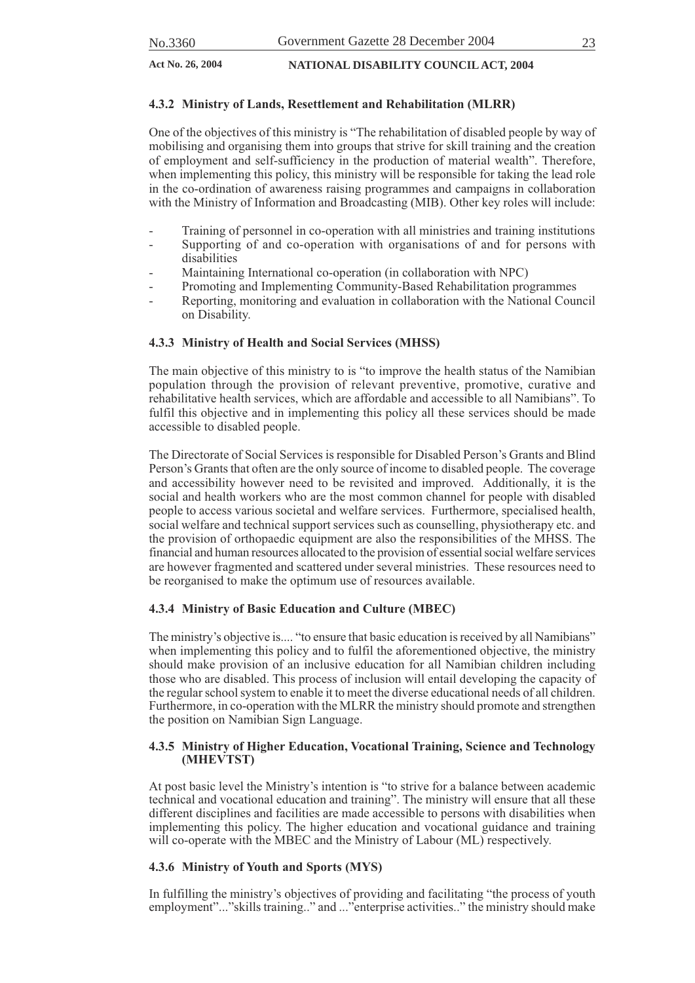#### **4.3.2 Ministry of Lands, Resettlement and Rehabilitation (MLRR)**

One of the objectives of this ministry is "The rehabilitation of disabled people by way of mobilising and organising them into groups that strive for skill training and the creation of employment and self-sufficiency in the production of material wealth". Therefore, when implementing this policy, this ministry will be responsible for taking the lead role in the co-ordination of awareness raising programmes and campaigns in collaboration with the Ministry of Information and Broadcasting (MIB). Other key roles will include:

- Training of personnel in co-operation with all ministries and training institutions
- Supporting of and co-operation with organisations of and for persons with disabilities
- Maintaining International co-operation (in collaboration with NPC)
- Promoting and Implementing Community-Based Rehabilitation programmes
- Reporting, monitoring and evaluation in collaboration with the National Council on Disability.

#### **4.3.3 Ministry of Health and Social Services (MHSS)**

The main objective of this ministry to is "to improve the health status of the Namibian population through the provision of relevant preventive, promotive, curative and rehabilitative health services, which are affordable and accessible to all Namibians". To fulfil this objective and in implementing this policy all these services should be made accessible to disabled people.

The Directorate of Social Services is responsible for Disabled Person's Grants and Blind Person's Grants that often are the only source of income to disabled people. The coverage and accessibility however need to be revisited and improved. Additionally, it is the social and health workers who are the most common channel for people with disabled people to access various societal and welfare services. Furthermore, specialised health, social welfare and technical support services such as counselling, physiotherapy etc. and the provision of orthopaedic equipment are also the responsibilities of the MHSS. The financial and human resources allocated to the provision of essential social welfare services are however fragmented and scattered under several ministries. These resources need to be reorganised to make the optimum use of resources available.

#### **4.3.4 Ministry of Basic Education and Culture (MBEC)**

The ministry's objective is.... "to ensure that basic education is received by all Namibians" when implementing this policy and to fulfil the aforementioned objective, the ministry should make provision of an inclusive education for all Namibian children including those who are disabled. This process of inclusion will entail developing the capacity of the regular school system to enable it to meet the diverse educational needs of all children. Furthermore, in co-operation with the MLRR the ministry should promote and strengthen the position on Namibian Sign Language.

#### **4.3.5 Ministry of Higher Education, Vocational Training, Science and Technology (MHEVTST)**

At post basic level the Ministry's intention is "to strive for a balance between academic technical and vocational education and training". The ministry will ensure that all these different disciplines and facilities are made accessible to persons with disabilities when implementing this policy. The higher education and vocational guidance and training will co-operate with the MBEC and the Ministry of Labour (ML) respectively.

#### **4.3.6 Ministry of Youth and Sports (MYS)**

In fulfilling the ministry's objectives of providing and facilitating "the process of youth employment"..."skills training.." and ..."enterprise activities.." the ministry should make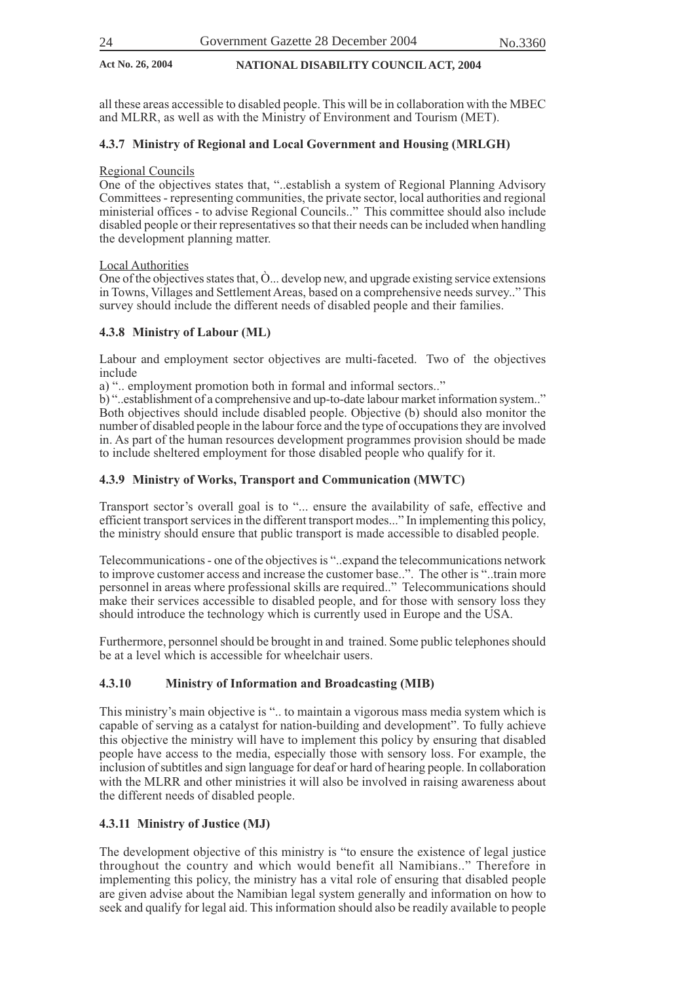all these areas accessible to disabled people. This will be in collaboration with the MBEC and MLRR, as well as with the Ministry of Environment and Tourism (MET).

#### **4.3.7 Ministry of Regional and Local Government and Housing (MRLGH)**

#### Regional Councils

One of the objectives states that, "..establish a system of Regional Planning Advisory Committees - representing communities, the private sector, local authorities and regional ministerial offices - to advise Regional Councils.." This committee should also include disabled people or their representatives so that their needs can be included when handling the development planning matter.

#### Local Authorities

One of the objectives states that, Ò... develop new, and upgrade existing service extensions in Towns, Villages and Settlement Areas, based on a comprehensive needs survey.." This survey should include the different needs of disabled people and their families.

#### **4.3.8 Ministry of Labour (ML)**

Labour and employment sector objectives are multi-faceted. Two of the objectives include

a) ".. employment promotion both in formal and informal sectors.."

b) "..establishment of a comprehensive and up-to-date labour market information system.." Both objectives should include disabled people. Objective (b) should also monitor the number of disabled people in the labour force and the type of occupations they are involved in. As part of the human resources development programmes provision should be made to include sheltered employment for those disabled people who qualify for it.

#### **4.3.9 Ministry of Works, Transport and Communication (MWTC)**

Transport sector's overall goal is to "... ensure the availability of safe, effective and efficient transport services in the different transport modes..." In implementing this policy, the ministry should ensure that public transport is made accessible to disabled people.

Telecommunications - one of the objectives is "..expand the telecommunications network to improve customer access and increase the customer base..". The other is "..train more personnel in areas where professional skills are required.." Telecommunications should make their services accessible to disabled people, and for those with sensory loss they should introduce the technology which is currently used in Europe and the USA.

Furthermore, personnel should be brought in and trained. Some public telephones should be at a level which is accessible for wheelchair users.

#### **4.3.10 Ministry of Information and Broadcasting (MIB)**

This ministry's main objective is ".. to maintain a vigorous mass media system which is capable of serving as a catalyst for nation-building and development". To fully achieve this objective the ministry will have to implement this policy by ensuring that disabled people have access to the media, especially those with sensory loss. For example, the inclusion of subtitles and sign language for deaf or hard of hearing people. In collaboration with the MLRR and other ministries it will also be involved in raising awareness about the different needs of disabled people.

#### **4.3.11 Ministry of Justice (MJ)**

The development objective of this ministry is "to ensure the existence of legal justice throughout the country and which would benefit all Namibians.." Therefore in implementing this policy, the ministry has a vital role of ensuring that disabled people are given advise about the Namibian legal system generally and information on how to seek and qualify for legal aid. This information should also be readily available to people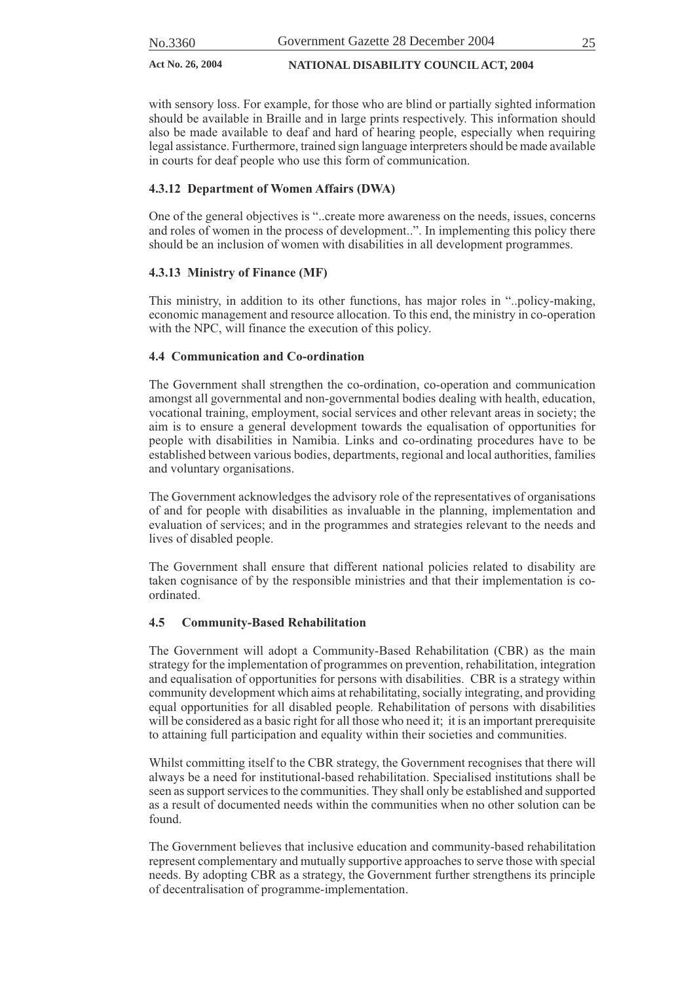with sensory loss. For example, for those who are blind or partially sighted information should be available in Braille and in large prints respectively. This information should also be made available to deaf and hard of hearing people, especially when requiring legal assistance. Furthermore, trained sign language interpreters should be made available in courts for deaf people who use this form of communication.

#### **4.3.12 Department of Women Affairs (DWA)**

One of the general objectives is "..create more awareness on the needs, issues, concerns and roles of women in the process of development..". In implementing this policy there should be an inclusion of women with disabilities in all development programmes.

#### **4.3.13 Ministry of Finance (MF)**

This ministry, in addition to its other functions, has major roles in "..policy-making, economic management and resource allocation. To this end, the ministry in co-operation with the NPC, will finance the execution of this policy.

#### **4.4 Communication and Co-ordination**

The Government shall strengthen the co-ordination, co-operation and communication amongst all governmental and non-governmental bodies dealing with health, education, vocational training, employment, social services and other relevant areas in society; the aim is to ensure a general development towards the equalisation of opportunities for people with disabilities in Namibia. Links and co-ordinating procedures have to be established between various bodies, departments, regional and local authorities, families and voluntary organisations.

The Government acknowledges the advisory role of the representatives of organisations of and for people with disabilities as invaluable in the planning, implementation and evaluation of services; and in the programmes and strategies relevant to the needs and lives of disabled people.

The Government shall ensure that different national policies related to disability are taken cognisance of by the responsible ministries and that their implementation is coordinated.

#### **4.5 Community-Based Rehabilitation**

The Government will adopt a Community-Based Rehabilitation (CBR) as the main strategy for the implementation of programmes on prevention, rehabilitation, integration and equalisation of opportunities for persons with disabilities. CBR is a strategy within community development which aims at rehabilitating, socially integrating, and providing equal opportunities for all disabled people. Rehabilitation of persons with disabilities will be considered as a basic right for all those who need it; it is an important prerequisite to attaining full participation and equality within their societies and communities.

Whilst committing itself to the CBR strategy, the Government recognises that there will always be a need for institutional-based rehabilitation. Specialised institutions shall be seen as support services to the communities. They shall only be established and supported as a result of documented needs within the communities when no other solution can be found.

The Government believes that inclusive education and community-based rehabilitation represent complementary and mutually supportive approaches to serve those with special needs. By adopting CBR as a strategy, the Government further strengthens its principle of decentralisation of programme-implementation.